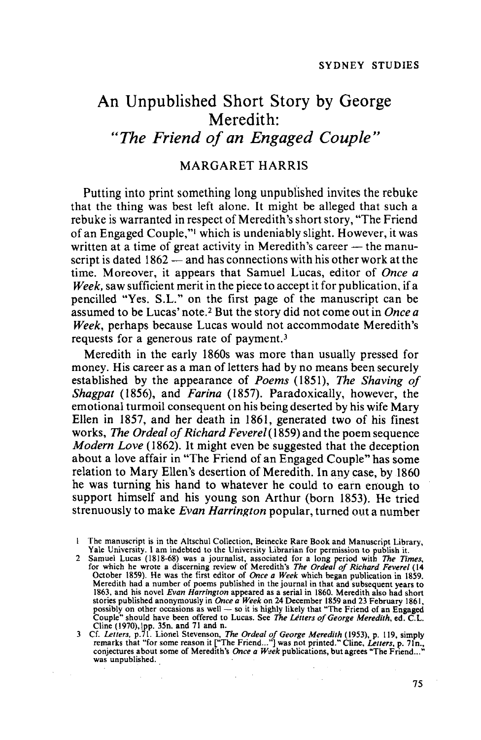# An Unpublished Short Story by George Meredith: *"The Friend of an Engaged Couple"*

## MARGARET HARRIS

Putting into print something long unpublished invites the rebuke that the thing was best left alone. It might be alleged that such a rebuke is warranted in respect of Meredith's short story, "The Friend" of an Engaged Couple,"1 which is undeniably slight. However, it was written at a time of great activity in Meredith's career  $-$  the manuscript is dated  $1862 -$  and has connections with his other work at the time. Moreover, it appears that Samuel Lucas, editor of *Once a Week,* saw sufficient merit in the piece to accept it for publication, if a pencilled "Yes. S.L." on the first page of the manuscript can be assumed to be Lucas' note. <sup>2</sup> But the story did not come out in *Once a Week,* perhaps because Lucas would not accommodate Meredith's requests for a generous rate of payment. <sup>3</sup>

Meredith in the early 1860s was more than usually pressed for money. His career as a man of letters had by no means been securely established by the appearance of *Poems* (1851), *The Shaving of Shagpat* (1856), and *Farina* (1857). Paradoxically, however, the emotional turmoil consequent on his being deserted by his wife Mary Ellen in 1857, and her death in 1861, generated two of his finest works, *The Ordeal of Richard Feverel* (1859) and the poem sequence *Modern Love* (1862). It might even be suggested that the deception about a love affair in "The Friend of an Engaged Couple" has some relation to Mary Ellen's desertion of Meredith. In any case, by 1860 he was turning his hand to whatever he could to earn enough to support himself and his young son Arthur (born 1853). He tried strenuously to make *Evan Harrington* popular, turned out a number

1 The manuscript is in the Altschul Collection, Beinecke Rare Book and Manuscript Library, Yale University. I am indebted to the University Librarian for permission to publish it.

2 Samuel Lucas (1818-68) was a journalist, associated for a long period with *The Times*, for which he wrote a discerning review of Meredith's *The Ordeal of Richard Feverel* (14 October 1859). He was the first editor of Meredith had a number of poems published in the journal in that and subsequent years to 1863, and his novel *Evan Harrington* appeared as a serial in 1860. Meredith also had short stories published anonymously in *Once a* 

Cline (1970), lpp. 35n. and 71 and n.<br>3 Cf. Letters, p.71. Lionel Stevenson, *The Ordeal of George Meredith* (1953), p. 119, simply<br>remarks that "for some reason it ["The Friend..."] was not printed." Cline, Letters, p. 71

 $\sim 100$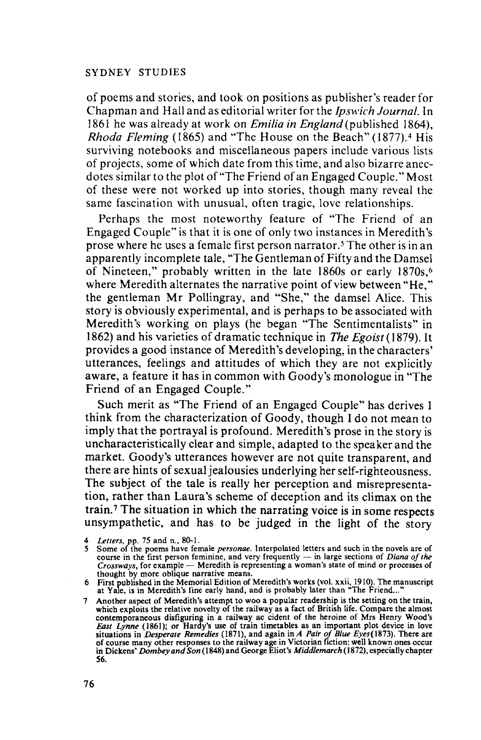of poems and stories, and took on positions as publisher's reader for Chapman and Hall and as editorial writer for the *Ipswich Journal.* In 1861 he was already at work on *Emilia in England* (published 1864), *Rhoda Fleming* (1865) and "The House on the Beach" (1877). <sup>4</sup> His surviving notebooks and miscellaneous papers include various lists of projects, some of which date from this time, and also bizarre anecdotes similar to the plot of "The Friend of an Engaged Couple." Most of these were not worked up into stories, though many reveal the same fascination with unusual, often tragic, love relationships.

Perhaps the most noteworthy feature of "The Friend of an Engaged Couple" is that it is one of only two instances in Meredith's prose where he uses a female first person narrator. <sup>5</sup> The other is in an apparently incomplete tale, "The Gentleman of Fifty and the Damsel of Nineteen," probably written in the late 1860s or early 1870s,<sup>6</sup> where Meredith alternates the narrative point of view between "He," the gentleman Mr Pollingray, and "She," the damsel Alice. This story is obviously experimental, and is perhaps to be associated with Meredith's working on plays (he began "The Sentimentalists" in 1862) and his varieties of dramatic technique in *The Egoist* (1879). It provides a good instance of Meredith's developing, in the characters' utterances, feelings and attitudes of which they are not explicitly aware, a feature it has in common with Goody's monologue in "The Friend of an Engaged Couple."

Such merit as "The Friend of an Engaged Couple" has derives I think from the characterization of Goody, though I do not mean to imply that the portrayal is profound. Meredith's prose in the story is uncharacteristically clear and simple, adapted to the speaker and the market. Goody's utterances however are not quite transparent, and there are hints of sexual jealousies underlying her self-righteousness. The subject of the tale is really her perception and misrepresentation, rather than Laura's scheme of deception and its climax on the train. <sup>7</sup> The situation in which the narrating voice is in some respects unsympathetic, and has to be judged in the light of the story

<sup>4</sup> Letters, pp. 75 and n., 80-1.<br>5 Some of the poems have female *personae*. Interpolated letters and such in the novels are of<br>course in the first person feminine, and very frequently — in large sections of *Diana of the* course in the first person feminine, and very frequently — in large sections of *Diana of the Crossways*, for example — Meredith is representing a woman's state of mind or processes of thought by more oblique narrative m

thought by more oblique narrative means. . <sup>6</sup> First published in the Memorial Edition of Meredith's works (vol. xxii, 1910). The manuscript at Yale, is in Meredith's fine early hand, and is probably later than "The Friend..."

<sup>7</sup> Another aspect of Meredith's attempt to woo a popular readership is the setting on the train, which exploits the relative novelty of the railway as a fact of British life. Compare the almost contemporaneous disfiguring in a railway ac cident of the heroine of Mrs Henry Wood's *East Lynne* (1861); or Hardy's use of of course many other responses to the railway age in Victorian fiction: well known ones occur<br>in Dickens' *Dombey and Son* (1848) and George Eliot's *Middlemarch* (1872), especially chapter 56.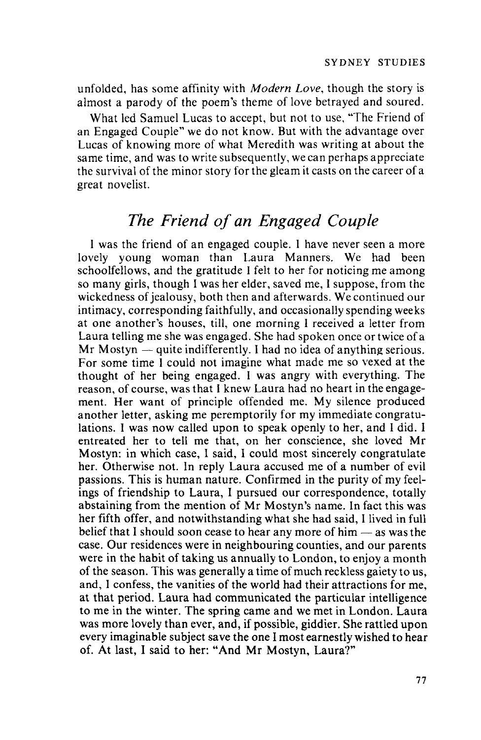unfolded, has some affinity with *Modern Love,* though the story is almost a parody of the poem's theme of love betrayed and soured.

What led Samuel Lucas to accept, but not to use, "The Friend of an Engaged Couple" we do not know. But with the advantage over Lucas of knowing more of what Meredith was writing at about the same time, and was to write subsequently, we can perhaps appreciate the survival of the minor story for the gleam it casts on the career of a great novelist.

## *The Friend of an Engaged Couple*

I was the friend of an engaged couple. I have never seen a more lovely young woman than Laura Manners. We had been schoolfellows, and the gratitude I felt to her for noticing me among so many girls, though I was her elder, saved me, I suppose, from the wickedness of jealousy, both then and afterwards. We continued our intimacy, corresponding faithfully, and occasionally spending weeks at one another's houses, till, one morning I received a letter from Laura telling me she was engaged. She had spoken once or twice of a  $Mr Mostyn$  - quite indifferently. I had no idea of anything serious. For some time I could not imagine what made me so vexed at the thought of her being engaged. I was angry with everything. The reason, of course, was that I knew Laura had no heart in the engagement. Her want of principle offended me. My silence produced another letter, asking me peremptorily for my immediate congratulations. I was now called upon to speak openly to her, and I did. I entreated her to tell me that, on her conscience, she loved Mr Mostyn: in which case, I said, I could most sincerely congratulate her. Otherwise not. In reply Laura accused me of a number of evil passions. This is human nature. Confirmed in the purity of my feelings of friendship to Laura, I pursued our correspondence, totally abstaining from the mention of Mr Mostyn's name. In fact this was her fifth offer, and notwithstanding what she had said, I lived in full belief that I should soon cease to hear any more of him  $-$  as was the case. Our residences were in neighbouring counties, and our parents were in the habit of taking us annually to London, to enjoy a month of the season. This was generally a time of much reckless gaiety to us, and, I confess, the vanities of the world had their attractions for me, at that period. Laura had communicated the particular intelligence to me in the winter. The spring came and we met in London. Laura was more lovely than ever, and, if possible, giddier. She rattled upon every imaginable subject save the one I most earnestly wished to hear of. At last, I said to her: "And Mr Mostyn, Laura?"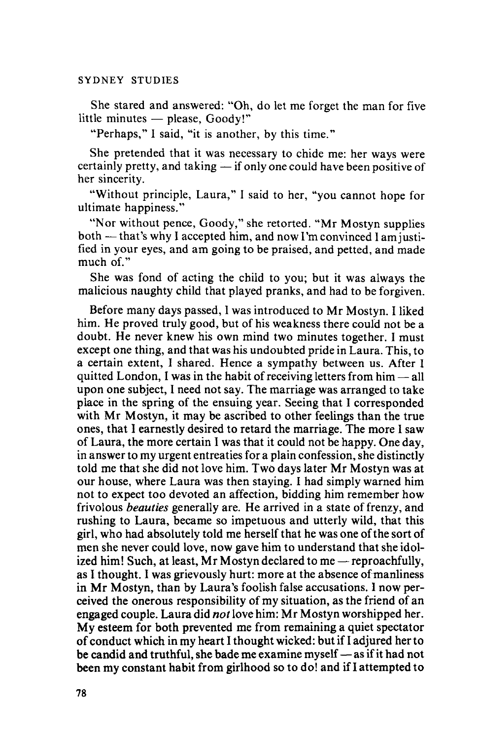She stared and answered: "Oh, do let me forget the man for five little minutes  $-$  please,  $GoodV$ !"

"Perhaps," I said, "it is another, by this time."

She pretended that it was necessary to chide me: her ways were certainly pretty, and taking  $-$  if only one could have been positive of her sincerity.

"Without principle, Laura," I said to her, "you cannot hope for ultimate happiness."

"Nor without pence, Goody," she retorted. "Mr Mostyn supplies both — that's why I accepted him, and now I'm convinced I am justified in your eyes, and am going to be praised, and petted, and made much of."

She was fond of acting the child to you; but it was always the malicious naughty child that played pranks, and had to be forgiven.

Before many days passed, I was introduced to Mr Mostyn. I liked him. He proved truly good, but of his weakness there could not be a doubt. He never knew his own mind two minutes together. I must except one thing, and that was his undoubted pride in Laura. This, to a certain extent, I shared. Hence a sympathy between us. After I quitted London, I was in the habit of receiving letters from  $\lim_{n \to \infty}$ upon one subject, I need not say. The marriage was arranged to take place in the spring of the ensuing year. Seeing that I corresponded with Mr Mostyn, it may be ascribed to other feelings than the true ones, that I earnestly desired to retard the marriage. The more I saw of Laura, the more certain I was that it could not be happy. One day, in answer to my urgent entreatiesfor a plain confession, she distinctly told me that she did not love him. Two days later Mr Mostyn was at our house, where Laura was then staying. I had simply warned him not to expect too devoted an affection, bidding him remember how frivolous *beauties* generally are. He arrived in a state offrenzy, and rushing to Laura, became so impetuous and utterly wild, that this girl, who had absolutely told me herself that he was one ofthe sort of men she never could love, now gave him to understand that she idolized him! Such, at least, Mr Mostyn declared to me  $-$  reproachfully, as I thought. I was grievously hurt: more at the absence ofmanliness in Mr Mostyn, than by Laura's foolish false accusations. I now perceived the onerous responsibility of my situation, as the friend of an engaged couple. Laura did *not* love him: Mr Mostyn worshipped her. My esteem for both prevented me from remaining a quiet spectator of conduct which in my heart I thought wicked: but ifI adjured her to be candid and truthful, she bade me examine myself — as if it had not been my constant habit from girlhood so to do! and if I attempted to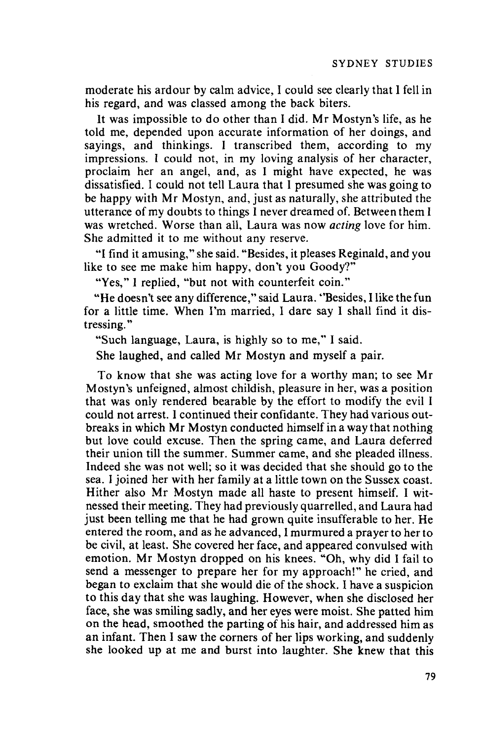moderate his ardour by calm advice, 1 could see clearly that 1fell in his regard, and was classed among the back biters.

It was impossible to do other than 1 did. Mr Mostyn's life, as he told me, depended upon accurate information of her doings, and sayings, and thinkings. 1 transcribed them, according to my impressions. 1 could not, in my loving analysis of her character, proclaim her an angel, and, as 1 might have expected, he was dissatisfied. 1 could not tell Laura that 1 presumed she was going to be happy with Mr Mostyn, and, just as naturally, she attributed the utterance of my doubts to things 1never dreamed of. Between them 1 was wretched. Worse than all, Laura was now *acting* love for him. She admitted it to me without any reserve.

"I find it amusing," she said. "Besides, it pleases Reginald, and you like to see me make him happy, don't you Goody?"

"Yes," I replied, "but not with counterfeit coin."

"He doesn't see any difference," said Laura. "Besides, I like the fun for a little time. When I'm married, I dare say I shall find it distressing. "

"Such language, Laura, is highly so to me," I said.

She laughed, and called Mr Mostyn and myself a pair.

To know that she was acting love for a worthy man; to see Mr Mostyn's unfeigned, almost childish, pleasure in her, was a position that was only rendered bearable by the effort to modify the evil I could not arrest. 1continued their confidante. They had various outbreaks in which Mr Mostyn conducted himself in a way that nothing but love could excuse. Then the spring came, and Laura deferred their union till the summer. Summer came, and she pleaded illness. Indeed she was not well; so it was decided that she should go to the sea. I joined her with her family at a little town on the Sussex coast. Hither also Mr Mostyn made all haste to present himself. I witnessed their meeting. They had previously quarrelled, and Laura had just been telling me that he had grown quite insufferable to her. He entered the room, and as he advanced, I murmured a prayer to her to be civil, at least. She covered her face, and appeared convulsed with emotion. Mr Mostyn dropped on his knees. "Oh, why did 1fail to send a messenger to prepare her for my approach!" he cried, and began to exclaim that she would die of the shock. 1have a suspicion to this day that she was laughing. However, when she disclosed her face, she was smiling sadly, and her eyes were moist. She patted him on the head, smoothed the parting of his hair, and addressed him as an infant. Then I saw the corners of her lips working, and suddenly she looked up at me and burst into laughter. She knew that this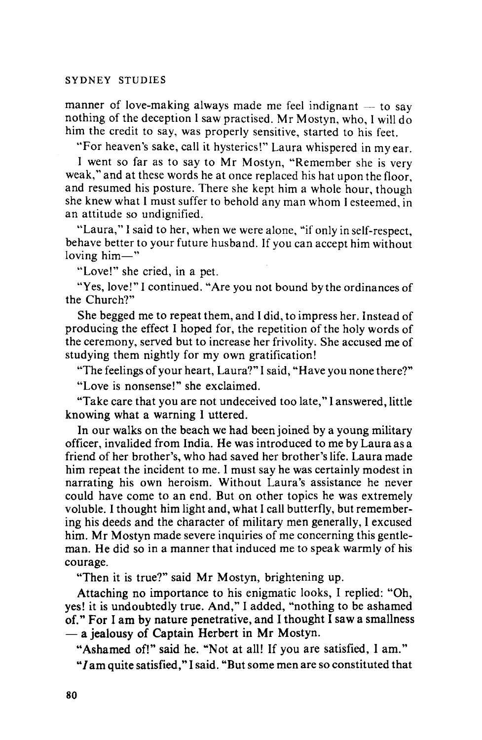manner of love-making always made me feel indignant  $-$  to say nothing of the deception I saw practised. Mr Mostyn, who, I will do him the credit to say, was properly sensitive, started to his feet.

"For heaven's sake, call it hysterics!" Laura whispered in my ear.

I went so far as to say to Mr Mostyn, "Remember she is very weak," and at these words he at once replaced his hat upon the floor, and resumed his posture. There she kept him a whole hour, though she knew what I must suffer to behold any man whom I esteemed, in an attitude so undignified.

"Laura," I said to her, when we were alone, "if only in self-respect, behave better to your future husband. If you can accept him without loving  $him$ —"

"Love!" she cried, in a pet.

"Yes, love!" I continued. "Are you not bound by the ordinances of the Church?"

She begged me to repeat them, and I did, to impress her. Instead of producing the effect I hoped for, the repetition of the holy words of the ceremony, served but to increase her frivolity. She accused me of studying them nightly for my own gratification!

"The feelings of your heart, Laura?" I said, "Have you none there?"

"Love is nonsense!" she exclaimed.

"Take care that you are not undeceived too late," I answered, little knowing what a warning I uttered.

In our walks on the beach we had been joined by a young military officer, invalided from India. He was introduced to me by Laura as a friend of her brother's, who had saved her brother's life. Laura made him repeat the incident to me. I must say he was certainly modest in narrating his own heroism. Without Laura's assistance he never could have come to an end. But on other topics he was extremely voluble. I thought him light and, what I call butterfly, but remembering his deeds and the character of military men generally, I excused him. Mr Mostyn made severe inquiries of me concerning this gentleman. He did so in a manner that induced me to speak warmly of his courage.

"Then it is true?" said Mr Mostyn, brightening up.

Attaching no importance to his enigmatic looks, I replied: "Oh, yes! it is undoubtedly true. And," I added, "nothing to be ashamed of." For I am by nature penetrative, and I thought  $\overline{I}$  saw a smallness  $-$  a jealousy of Captain Herbert in Mr Mostyn.

"Ashamed of!" said he. "Not at all! If you are satisfied, I am."

"I am quite satisfied," I said. "But some men are so constituted that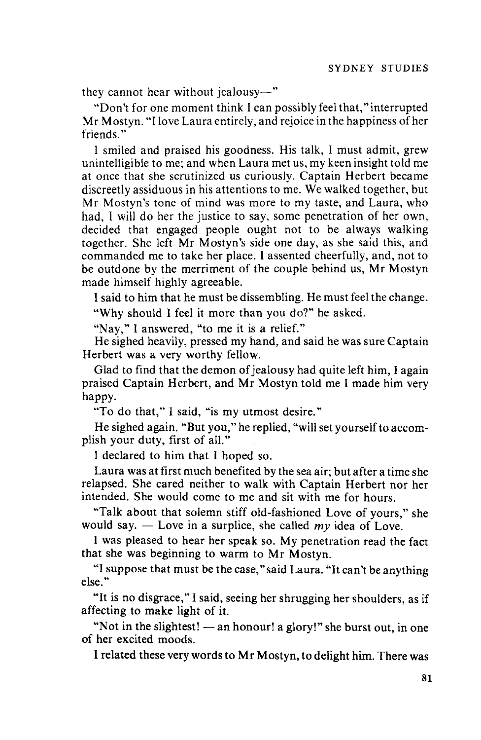they cannot hear without jealousy-"

"Don't for one moment think I can possibly feel that," interrupted Mr Mostyn. "I love Laura entirely, and rejoice in the happiness of her friends."

I smiled and praised his goodness. His talk, I must admit, grew unintelligible to me; and when Laura met us, my keen insight told me at once that she scrutinized us curiously. Captain Herbert became discreetly assiduous in his attentions to me. We walked together, but Mr Mostyn's tone of mind was more to my taste, and Laura, who had, I will do her the justice to say, some penetration of her own, decided that engaged people ought not to be always walking together. She left Mr Mostyn's side one day, as she said this, and commanded me to take her place. I assented cheerfully, and, not to be outdone by the merriment of the couple behind us, Mr Mostyn made himself highly agreeable.

I said to him that he must be dissembling. He must feel the change.

"Why should I feel it more than you do?" he asked.

"Nay," I answered, "to me it is a relief."

He sighed heavily, pressed my hand, and said he was sure Captain Herbert was a very worthy fellow.

Glad to find that the demon of jealousy had quite left him, I again praised Captain Herbert, and Mr Mostyn told me I made him very happy.

"To do that," I said, "is my utmost desire."

He sighed again. "But you," he replied, "will set yourself to accomplish your duty, first of all."

I declared to him that I hoped so.

Laura was at first much benefited by the sea air; but after a time she relapsed. She cared neither to walk with Captain Herbert nor her intended. She would come to me and sit with me for hours.

"Talk about that solemn stiff old-fashioned Love of yours," she would say.  $-$  Love in a surplice, she called my idea of Love.

I was pleased to hear her speak so. My penetration read the fact that she was beginning to warm to Mr Mostyn.

"I suppose that must be the case,"said Laura. "It can't be anything else."

"It is no disgrace," I said, seeing her shrugging her shoulders, as if affecting to make light of it.

"Not in the slightest! - an honour! a glory!" she burst out, in one of her excited moods.

I related these very words to Mr Mostyn, to delight him. There was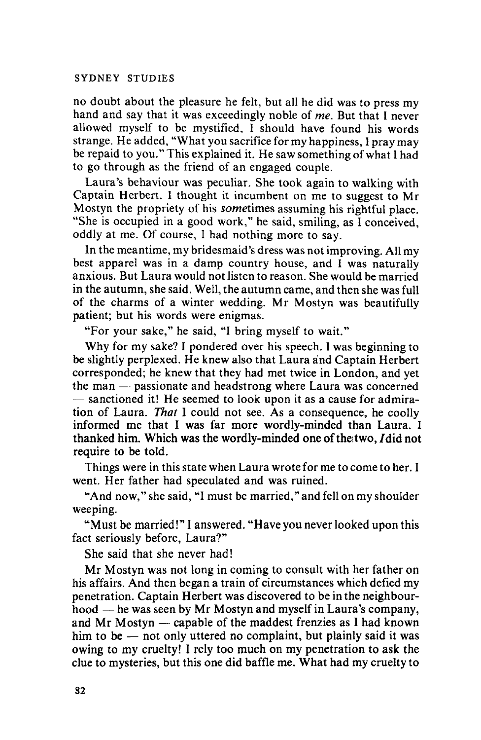no doubt about the pleasure he felt, but all he did was to press my hand and say that it was exceedingly noble of *me.* But that 1 never allowed myself to be mystified, 1 should have found his words strange. He added, "What you sacrifice for my happiness, I pray may be repaid to you." This explained it. He saw something of what I had to go through as the friend of an engaged couple.

Laura's behaviour was peculiar. She took again to walking with Captain Herbert. 1 thought it incumbent on me to suggest to Mr Mostyn the propriety of his *sometimes* assuming his rightful place. "She is occupied in a good work," he said, smiling, as I conceived, oddly at me. Of course, 1 had nothing more to say.

In the meantime, my bridesmaid's dress was not improving. All my best apparel was in a damp country house, and I was naturally anxious. But Laura would not listen to reason. She would be married in the autumn, she said. Well, the autumn came, and then she was full of the charms of a winter wedding. Mr Mostyn was beautifully patient; but his words were enigmas.

"For your sake," he said, "I bring myself to wait."

Why for my sake? I pondered over his speech. I was beginning to be slightly perplexed. He knew also that Laura and Captain Herbert corresponded; he knew that they had met twice in London, and yet the man — passionate and headstrong where Laura was concerned  $-$  sanctioned it! He seemed to look upon it as a cause for admiration of Laura. *That* I could not see. As a consequence, he coolly informed me that I was far more wordly-minded than Laura. I thanked him. Which was the wordly-minded one of the two, I did not require to be told.

Things were in this state when Laura wrote for me to come to her. I went. Her father had speculated and was ruined.

"And now," she said, "I must be married," and fell on my shoulder weeping.

"Must be married!" I answered. "Have you never looked upon this fact seriously before, Laura?"

She said that she never had!

Mr Mostyn was not long in coming to consult with her father on his affairs. And then began a train of circumstances which defied my penetration. Captain Herbert was discovered to be in the neighbourhood  $-$  he was seen by Mr Mostyn and myself in Laura's company, and Mr Mostyn  $-$  capable of the maddest frenzies as I had known him to be  $-$  not only uttered no complaint, but plainly said it was owing to my cruelty! I rely too much on my penetration to ask the clue to mysteries, but this one did baffle me. What had my cruelty to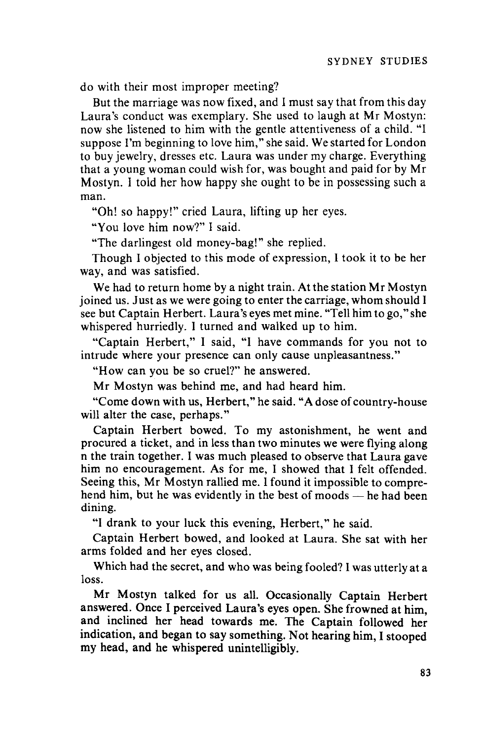do with their most improper meeting?

But the marriage was now fixed, and 1must say that from this day Laura's conduct was exemplary. She used to laugh at Mr Mostyn: now she listened to him with the gentle attentiveness of a child. "I suppose I'm beginning to love him," she said. We started for London to buy jewelry, dresses etc. Laura was under my charge. Everything that a young woman could wish for, was bought and paid for by Mr Mostyn. 1 told her how happy she ought to be in possessing such a man.

"Oh! so happy!" cried Laura, lifting up her eyes.

"You love him now?" 1 said.

"The darlingest old money-bag!" she replied.

Though 1 objected to this mode of expression, 1 took it to be her way, and was satisfied.

We had to return home by a night train. At the station Mr Mostyn joined us. Just as we were going to enter the carriage, whom should 1 see but Captain Herbert. Laura's eyes met mine. "Tell him to go," she whispered hurriedly. 1 turned and walked up to him.

"Captain Herbert," 1 said, "I have commands for you not to intrude where your presence can only cause unpleasantness."

"How can you be so cruel?" he answered.

Mr Mostyn was behind me, and had heard him.

"Come down with us, Herbert," he said. "A dose of country-house will alter the case, perhaps."

Captain Herbert bowed. To my astonishment, he went and procured a ticket, and in less than two minutes we were flying along n the train together. 1 was much pleased to observe that Laura gave him no encouragement. As for me, 1 showed that 1 felt offended. Seeing this, Mr Mostyn rallied me. 1found it impossible to comprehend him, but he was evidently in the best of moods  $-$  he had been dining.

"I drank to your luck this evening, Herbert," he said.

Captain Herbert bowed, and looked at Laura. She sat with her arms folded and her eyes closed.

Which had the secret, and who was being fooled? I was utterly at a loss.

Mr Mostyn talked for us all. Occasionally Captain Herbert answered. Once I perceived Laura's eyes open. She frowned at him, and inclined her head towards me. The Captain followed her indication, and began to say something. Not hearing him, 1 stooped my head, and he whispered unintelligibly.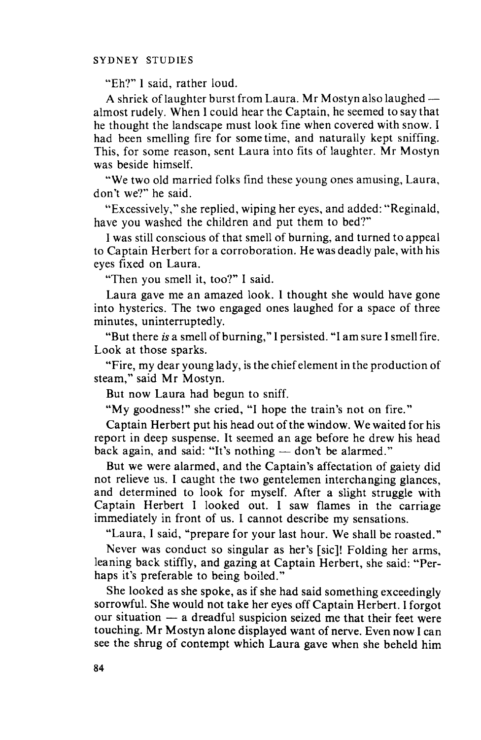"Eh?" 1 said, rather loud.

A shriek of laughter burst from Laura. Mr Mostyn also laughed almost rudely. When 1could hear the Captain, he seemed to say that he thought the landscape must look fine when covered with snow. I had been smelling fire for some time, and naturally kept sniffing. This, for some reason, sent Laura into fits of laughter. Mr Mostyn was beside himself.

"We two old married folks find these young ones amusing, Laura, don't we?" he said.

"Excessively," she replied, wiping her eyes, and added: "Reginald, have you washed the children and put them to bed?"

1was still conscious of that smell of burning, and turned to appeal to Captain Herbert for a corroboration. He was deadly pale, with his eyes fixed on Laura.

"Then you smell it, too?" 1 said.

Laura gave me an amazed look. 1 thought she would have gone into hysterics. The two engaged ones laughed for a space of three minutes, uninterruptedly.

"But there *is* a smell of burning," 1persisted. "I am sure 1smell fire. Look at those sparks.

"Fire, my dear young lady, is the chiefelement in the production of steam," said Mr Mostyn.

But now Laura had begun to sniff.

"My goodness!" she cried, "I hope the train's not on fire."

Captain Herbert put his head out of the window. We waited for his report in deep suspense. It seemed an age before he drew his head back again, and said: "It's nothing  $-$  don't be alarmed."

But we were alarmed, and the Captain's affectation of gaiety did not relieve us. 1 caught the two gentelemen interchanging glances, and determined to look for myself. After a slight struggle with Captain Herbert 1 looked out. 1 saw flames in the carriage immediately in front of us. 1 cannot describe my sensations.

"Laura, 1 said, "prepare for your last hour. We shall be roasted."

Never was conduct so singular as her's [sic]! Folding her arms, leaning back stiffly, and gazing at Captain Herbert, she said: "Perhaps it's preferable to being boiled."

She looked as she spoke, as if she had said something exceedingly sorrowful. She would not take her eyes off Captain Herbert. 1forgot our situation  $-$  a dreadful suspicion seized me that their feet were touching. Mr Mostyn alone displayed want of nerve. Even now I can see the shrug of contempt which Laura gave when she beheld him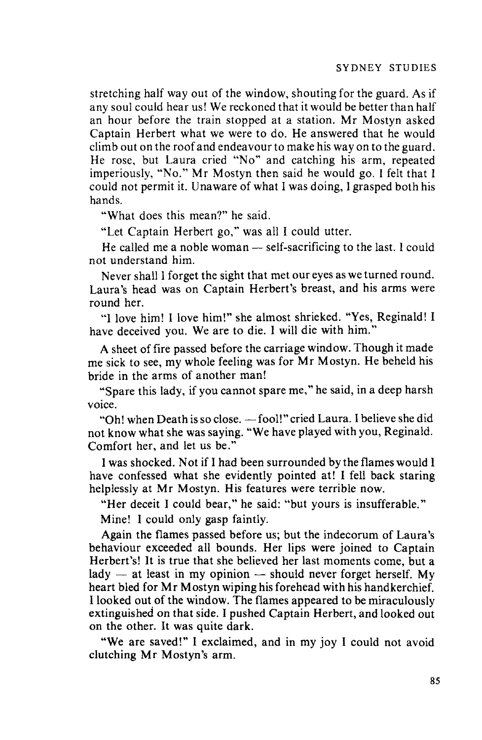stretching half way out of the window, shouting for the guard. As if any soul could hear us! We reckoned that it would be better than half an hour before the train stopped at a station. Mr Mostyn asked Captain Herbert what we were to do. He answered that he would climb out on the roof and endeavour to make his way on to the guard. He rose, but Laura cried "No" and catching his arm, repeated imperiously, "No." Mr Mostyn then said he would go. I felt that I could not permit it. Unaware of what I was doing, I grasped both his hands.

"What does this mean?" he said.

"Let Captain Herbert go," was all I could utter.

He called me a noble woman  $-$  self-sacrificing to the last. I could not understand him.

Never shall I forget the sight that met our eyes as we turned round. Laura's head was on Captain Herbert's breast, and his arms were round her.

"I love him! I love him!" she almost shrieked. "Yes, Reginald! I have deceived you. We are to die. I will die with him."

A sheet of fire passed before the carriage window. Though it made me sick to see, my whole feeling was for Mr Mostyn. He beheld his bride in the arms of another man!

"Spare this lady, if you cannot spare me," he said, in a deep harsh voice.

"Oh! when Death is so close. - fool!" cried Laura. I believe she did not know what she was saying. "We have played with you, Reginald. Comfort her, and let us be."

I was shocked. Not if I had been surrounded by the flames would I have confessed what she evidently pointed at! I fell back staring helplessly at Mr Mostyn. His features were terrible now.

"Her deceit I could bear," he said: "but yours is insufferable."

Mine! I could only gasp faintly.

Again the flames passed before us; but the indecorum of Laura's behaviour exceeded all bounds. Her lips were joined to Captain Herbert's! It is true that she believed her last moments come, but a lady  $-$  at least in my opinion  $-$  should never forget herself. My heart bled for Mr Mostyn wiping his forehead with his handkerchief. I looked out of the window. The flames appeared to be miraculously extinguished on that side. I pushed Captain Herbert, and looked out on the other. It was quite dark.

"We are saved!" I exclaimed, and in my joy I could not avoid clutching Mr Mostyn's arm.